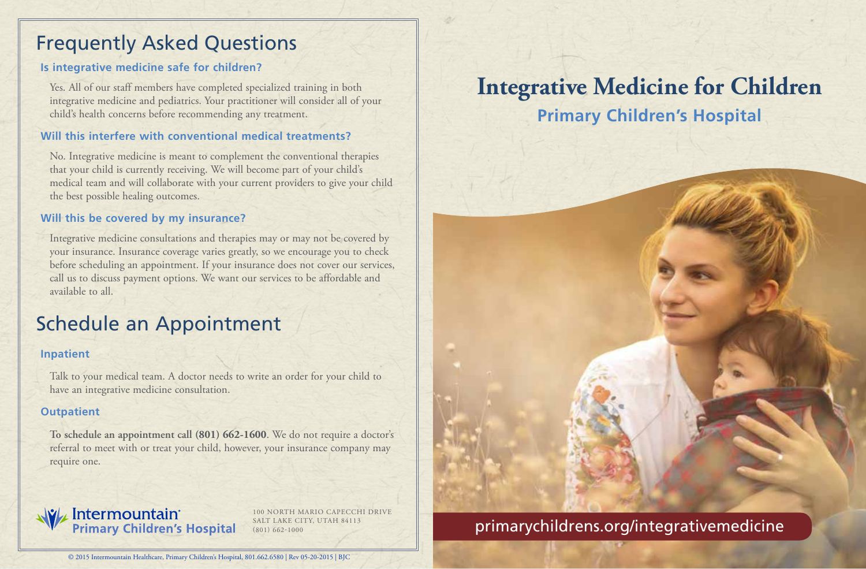## Frequently Asked Questions

### **Is integrative medicine safe for children?**

Yes. All of our staff members have completed specialized training in both integrative medicine and pediatrics. Your practitioner will consider all of your child's health concerns before recommending any treatment.

### **Will this interfere with conventional medical treatments?**

No. Integrative medicine is meant to complement the conventional therapies that your child is currently receiving. We will become part of your child's medical team and will collaborate with your current providers to give your child the best possible healing outcomes.

#### **Will this be covered by my insurance?**

Integrative medicine consultations and therapies may or may not be covered by your insurance. Insurance coverage varies greatly, so we encourage you to check before scheduling an appointment. If your insurance does not cover our services, call us to discuss payment options. We want our services to be affordable and available to all.

## Schedule an Appointment

#### **Inpatient**

Talk to your medical team. A doctor needs to write an order for your child to have an integrative medicine consultation.

### **Outpatient**

**To schedule an appointment call (801) 662-1600**. We do not require a doctor's referral to meet with or treat your child, however, your insurance company may require one.

# **We Intermountain**<br>Primary Children's Hospital

100 NORTH MARIO CAPECCHI DRIVE SALT LAKE CITY, UTAH 84113

# **Integrative Medicine for Children**

**Primary Children's Hospital**



### SALT LAKE CITY, UTAH 84113<br>(801) 662-1000 primarychildrens.org/integrativemedicine

© 2015 Intermountain Healthcare, Primary Children's Hospital, 801.662.6580 | Rev 05-20-2015 | BJC